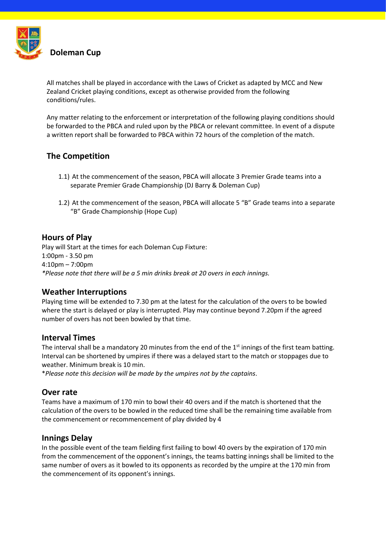

All matches shall be played in accordance with the Laws of Cricket as adapted by MCC and New Zealand Cricket playing conditions, except as otherwise provided from the following conditions/rules.

Any matter relating to the enforcement or interpretation of the following playing conditions should be forwarded to the PBCA and ruled upon by the PBCA or relevant committee. In event of a dispute a written report shall be forwarded to PBCA within 72 hours of the completion of the match.

# **The Competition**

- 1.1) At the commencement of the season, PBCA will allocate 3 Premier Grade teams into a separate Premier Grade Championship (DJ Barry & Doleman Cup)
- 1.2) At the commencement of the season, PBCA will allocate 5 "B" Grade teams into a separate "B" Grade Championship (Hope Cup)

# **Hours of Play**

Play will Start at the times for each Doleman Cup Fixture: 1:00pm - 3.50 pm 4:10pm – 7:00pm *\*Please note that there will be a 5 min drinks break at 20 overs in each innings.*

# **Weather Interruptions**

Playing time will be extended to 7.30 pm at the latest for the calculation of the overs to be bowled where the start is delayed or play is interrupted. Play may continue beyond 7.20pm if the agreed number of overs has not been bowled by that time.

### **Interval Times**

The interval shall be a mandatory 20 minutes from the end of the  $1<sup>st</sup>$  innings of the first team batting. Interval can be shortened by umpires if there was a delayed start to the match or stoppages due to weather. Minimum break is 10 min.

\**Please note this decision will be made by the umpires not by the captains*.

# **Over rate**

Teams have a maximum of 170 min to bowl their 40 overs and if the match is shortened that the calculation of the overs to be bowled in the reduced time shall be the remaining time available from the commencement or recommencement of play divided by 4

# **Innings Delay**

In the possible event of the team fielding first failing to bowl 40 overs by the expiration of 170 min from the commencement of the opponent's innings, the teams batting innings shall be limited to the same number of overs as it bowled to its opponents as recorded by the umpire at the 170 min from the commencement of its opponent's innings.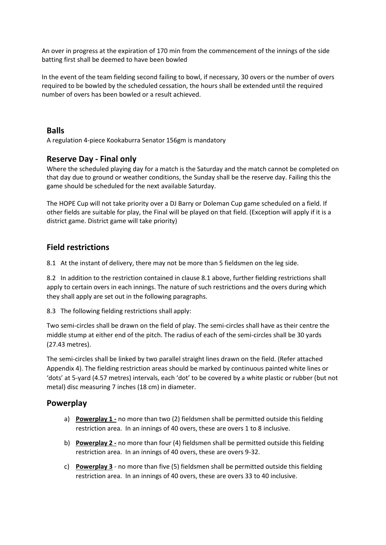An over in progress at the expiration of 170 min from the commencement of the innings of the side batting first shall be deemed to have been bowled

In the event of the team fielding second failing to bowl, if necessary, 30 overs or the number of overs required to be bowled by the scheduled cessation, the hours shall be extended until the required number of overs has been bowled or a result achieved.

## **Balls**

A regulation 4-piece Kookaburra Senator 156gm is mandatory

### **Reserve Day - Final only**

Where the scheduled playing day for a match is the Saturday and the match cannot be completed on that day due to ground or weather conditions, the Sunday shall be the reserve day. Failing this the game should be scheduled for the next available Saturday.

The HOPE Cup will not take priority over a DJ Barry or Doleman Cup game scheduled on a field. If other fields are suitable for play, the Final will be played on that field. (Exception will apply if it is a district game. District game will take priority)

# **Field restrictions**

8.1 At the instant of delivery, there may not be more than 5 fieldsmen on the leg side.

8.2 In addition to the restriction contained in clause 8.1 above, further fielding restrictions shall apply to certain overs in each innings. The nature of such restrictions and the overs during which they shall apply are set out in the following paragraphs.

8.3 The following fielding restrictions shall apply:

Two semi-circles shall be drawn on the field of play. The semi-circles shall have as their centre the middle stump at either end of the pitch. The radius of each of the semi-circles shall be 30 yards (27.43 metres).

The semi-circles shall be linked by two parallel straight lines drawn on the field. (Refer attached Appendix 4). The fielding restriction areas should be marked by continuous painted white lines or 'dots' at 5-yard (4.57 metres) intervals, each 'dot' to be covered by a white plastic or rubber (but not metal) disc measuring 7 inches (18 cm) in diameter.

# **Powerplay**

- a) **Powerplay 1 -** no more than two (2) fieldsmen shall be permitted outside this fielding restriction area. In an innings of 40 overs, these are overs 1 to 8 inclusive.
- b) **Powerplay 2 -** no more than four (4) fieldsmen shall be permitted outside this fielding restriction area. In an innings of 40 overs, these are overs 9-32.
- c) **Powerplay 3** no more than five (5) fieldsmen shall be permitted outside this fielding restriction area. In an innings of 40 overs, these are overs 33 to 40 inclusive.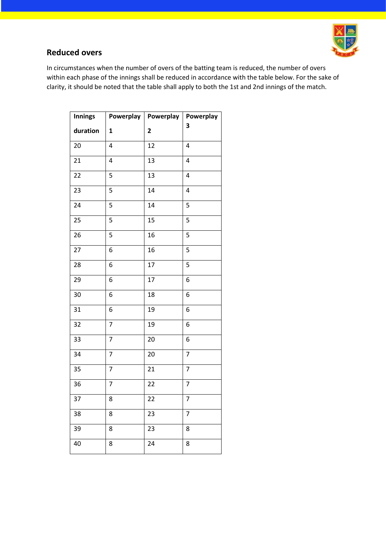

# **Reduced overs**

In circumstances when the number of overs of the batting team is reduced, the number of overs within each phase of the innings shall be reduced in accordance with the table below. For the sake of clarity, it should be noted that the table shall apply to both the 1st and 2nd innings of the match.

| <b>Innings</b> | Powerplay               | Powerplay    | Powerplay               |
|----------------|-------------------------|--------------|-------------------------|
| duration       | $\mathbf 1$             | $\mathbf{2}$ | 3                       |
| 20             | 4                       | 12           | 4                       |
| 21             | $\overline{\mathbf{4}}$ | 13           | $\overline{\mathbf{4}}$ |
| 22             | 5                       | 13           | $\overline{\mathbf{4}}$ |
| 23             | 5                       | 14           | $\overline{\mathbf{4}}$ |
| 24             | 5                       | 14           | 5                       |
| 25             | 5                       | 15           | 5                       |
| 26             | 5                       | 16           | 5                       |
| 27             | 6                       | 16           | 5                       |
| 28             | 6                       | 17           | 5                       |
| 29             | 6                       | 17           | 6                       |
| $30\,$         | 6                       | 18           | 6                       |
| 31             | 6                       | 19           | 6                       |
| 32             | $\overline{7}$          | 19           | 6                       |
| 33             | $\overline{7}$          | 20           | 6                       |
| 34             | $\overline{7}$          | 20           | $\overline{7}$          |
| 35             | 7                       | 21           | $\overline{7}$          |
| 36             | $\overline{7}$          | 22           | $\overline{7}$          |
| 37             | 8                       | 22           | $\overline{7}$          |
| 38             | 8                       | 23           | 7                       |
| 39             | 8                       | 23           | 8                       |
| 40             | 8                       | 24           | 8                       |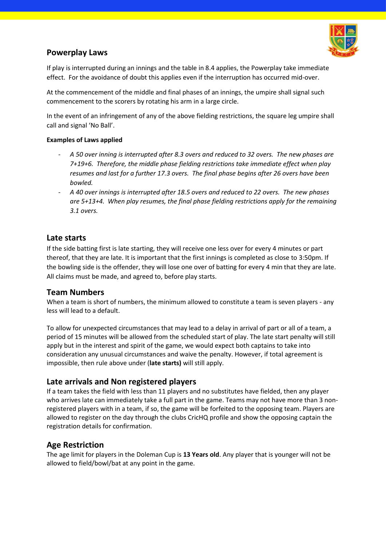

# **Powerplay Laws**

If play is interrupted during an innings and the table in 8.4 applies, the Powerplay take immediate effect. For the avoidance of doubt this applies even if the interruption has occurred mid-over.

At the commencement of the middle and final phases of an innings, the umpire shall signal such commencement to the scorers by rotating his arm in a large circle.

In the event of an infringement of any of the above fielding restrictions, the square leg umpire shall call and signal 'No Ball'.

#### **Examples of Laws applied**

- *A 50 over inning is interrupted after 8.3 overs and reduced to 32 overs. The new phases are 7+19+6. Therefore, the middle phase fielding restrictions take immediate effect when play resumes and last for a further 17.3 overs. The final phase begins after 26 overs have been bowled.*
- *A 40 over innings is interrupted after 18.5 overs and reduced to 22 overs. The new phases are 5+13+4. When play resumes, the final phase fielding restrictions apply for the remaining 3.1 overs.*

### **Late starts**

If the side batting first is late starting, they will receive one less over for every 4 minutes or part thereof, that they are late. It is important that the first innings is completed as close to 3:50pm. If the bowling side is the offender, they will lose one over of batting for every 4 min that they are late. All claims must be made, and agreed to, before play starts.

### **Team Numbers**

When a team is short of numbers, the minimum allowed to constitute a team is seven players - any less will lead to a default.

To allow for unexpected circumstances that may lead to a delay in arrival of part or all of a team, a period of 15 minutes will be allowed from the scheduled start of play. The late start penalty will still apply but in the interest and spirit of the game, we would expect both captains to take into consideration any unusual circumstances and waive the penalty. However, if total agreement is impossible, then rule above under (**late starts)** will still apply.

### **Late arrivals and Non registered players**

If a team takes the field with less than 11 players and no substitutes have fielded, then any player who arrives late can immediately take a full part in the game. Teams may not have more than 3 nonregistered players with in a team, if so, the game will be forfeited to the opposing team. Players are allowed to register on the day through the clubs CricHQ profile and show the opposing captain the registration details for confirmation.

#### **Age Restriction**

The age limit for players in the Doleman Cup is **13 Years old**. Any player that is younger will not be allowed to field/bowl/bat at any point in the game.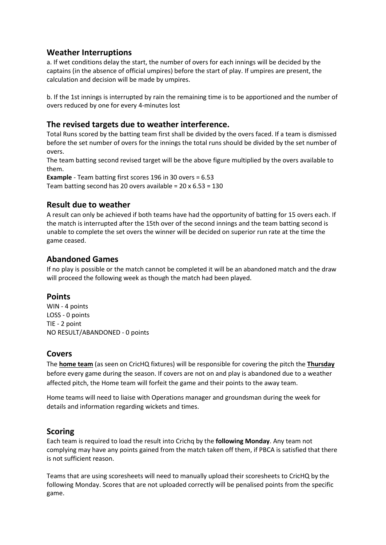# **Weather Interruptions**

a. If wet conditions delay the start, the number of overs for each innings will be decided by the captains (in the absence of official umpires) before the start of play. If umpires are present, the calculation and decision will be made by umpires.

b. If the 1st innings is interrupted by rain the remaining time is to be apportioned and the number of overs reduced by one for every 4-minutes lost

# **The revised targets due to weather interference.**

Total Runs scored by the batting team first shall be divided by the overs faced. If a team is dismissed before the set number of overs for the innings the total runs should be divided by the set number of overs.

The team batting second revised target will be the above figure multiplied by the overs available to them.

**Example** - Team batting first scores 196 in 30 overs = 6.53 Team batting second has 20 overs available =  $20 \times 6.53 = 130$ 

### **Result due to weather**

A result can only be achieved if both teams have had the opportunity of batting for 15 overs each. If the match is interrupted after the 15th over of the second innings and the team batting second is unable to complete the set overs the winner will be decided on superior run rate at the time the game ceased.

# **Abandoned Games**

If no play is possible or the match cannot be completed it will be an abandoned match and the draw will proceed the following week as though the match had been played.

### **Points**

WIN - 4 points LOSS - 0 points TIE - 2 point NO RESULT/ABANDONED - 0 points

### **Covers**

The **home team** (as seen on CricHQ fixtures) will be responsible for covering the pitch the **Thursday**  before every game during the season. If covers are not on and play is abandoned due to a weather affected pitch, the Home team will forfeit the game and their points to the away team.

Home teams will need to liaise with Operations manager and groundsman during the week for details and information regarding wickets and times.

### **Scoring**

Each team is required to load the result into Crichq by the **following Monday**. Any team not complying may have any points gained from the match taken off them, if PBCA is satisfied that there is not sufficient reason.

Teams that are using scoresheets will need to manually upload their scoresheets to CricHQ by the following Monday. Scores that are not uploaded correctly will be penalised points from the specific game.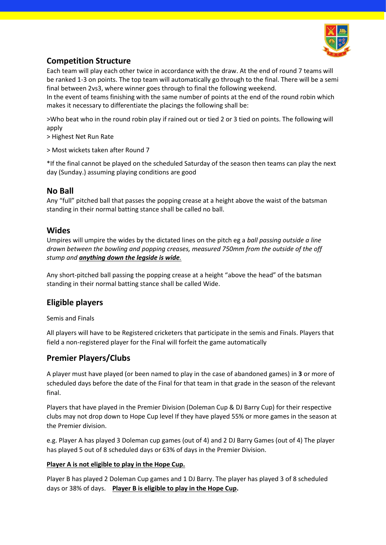

# **Competition Structure**

Each team will play each other twice in accordance with the draw. At the end of round 7 teams will be ranked 1-3 on points. The top team will automatically go through to the final. There will be a semi final between 2vs3, where winner goes through to final the following weekend.

In the event of teams finishing with the same number of points at the end of the round robin which makes it necessary to differentiate the placings the following shall be:

>Who beat who in the round robin play if rained out or tied 2 or 3 tied on points. The following will apply

> Highest Net Run Rate

> Most wickets taken after Round 7

\*If the final cannot be played on the scheduled Saturday of the season then teams can play the next day (Sunday.) assuming playing conditions are good

### **No Ball**

Any "full" pitched ball that passes the popping crease at a height above the waist of the batsman standing in their normal batting stance shall be called no ball.

### **Wides**

Umpires will umpire the wides by the dictated lines on the pitch eg a *ball passing outside a line drawn between the bowling and popping creases, measured 750mm from the outside of the off stump and anything down the legside is wide.*

Any short-pitched ball passing the popping crease at a height "above the head" of the batsman standing in their normal batting stance shall be called Wide.

# **Eligible players**

Semis and Finals

All players will have to be Registered cricketers that participate in the semis and Finals. Players that field a non-registered player for the Final will forfeit the game automatically

# **Premier Players/Clubs**

A player must have played (or been named to play in the case of abandoned games) in **3** or more of scheduled days before the date of the Final for that team in that grade in the season of the relevant final.

Players that have played in the Premier Division (Doleman Cup & DJ Barry Cup) for their respective clubs may not drop down to Hope Cup level If they have played 55% or more games in the season at the Premier division.

e.g. Player A has played 3 Doleman cup games (out of 4) and 2 DJ Barry Games (out of 4) The player has played 5 out of 8 scheduled days or 63% of days in the Premier Division.

#### **Player A is not eligible to play in the Hope Cup.**

Player B has played 2 Doleman Cup games and 1 DJ Barry. The player has played 3 of 8 scheduled days or 38% of days. **Player B is eligible to play in the Hope Cup.**